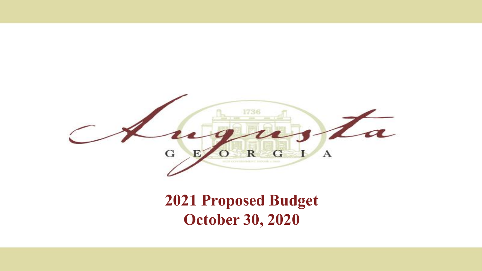

### **2021 Proposed Budget October 30, 2020**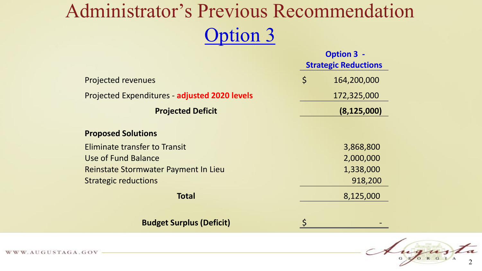## Administrator's Previous Recommendation Option 3

|                                               | <b>Option 3 -</b><br><b>Strategic Reductions</b> |               |
|-----------------------------------------------|--------------------------------------------------|---------------|
| <b>Projected revenues</b>                     | $\varsigma$                                      | 164,200,000   |
| Projected Expenditures - adjusted 2020 levels |                                                  | 172,325,000   |
| <b>Projected Deficit</b>                      |                                                  | (8, 125, 000) |
| <b>Proposed Solutions</b>                     |                                                  |               |
| Eliminate transfer to Transit                 |                                                  | 3,868,800     |
| Use of Fund Balance                           |                                                  | 2,000,000     |
| Reinstate Stormwater Payment In Lieu          |                                                  | 1,338,000     |
| <b>Strategic reductions</b>                   |                                                  | 918,200       |
| <b>Total</b>                                  |                                                  | 8,125,000     |
| <b>Budget Surplus (Deficit)</b>               |                                                  |               |

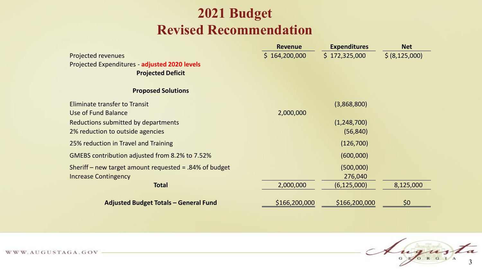#### **2021 Budget Revised Recommendation**

|                                                           | <b>Revenue</b> | <b>Expenditures</b> | <b>Net</b>     |
|-----------------------------------------------------------|----------------|---------------------|----------------|
| <b>Projected revenues</b>                                 | \$164,200,000  | \$172,325,000       | \$ (8,125,000) |
| Projected Expenditures - adjusted 2020 levels             |                |                     |                |
| <b>Projected Deficit</b>                                  |                |                     |                |
| <b>Proposed Solutions</b>                                 |                |                     |                |
| <b>Eliminate transfer to Transit</b>                      |                | (3,868,800)         |                |
| Use of Fund Balance                                       | 2,000,000      |                     |                |
| Reductions submitted by departments                       |                | (1,248,700)         |                |
| 2% reduction to outside agencies                          |                | (56, 840)           |                |
| 25% reduction in Travel and Training                      |                | (126,700)           |                |
| GMEBS contribution adjusted from 8.2% to 7.52%            |                | (600,000)           |                |
| Sheriff – new target amount requested = $.84\%$ of budget |                | (500,000)           |                |
| <b>Increase Contingency</b>                               |                | 276,040             |                |
| <b>Total</b>                                              | 2,000,000      | (6, 125, 000)       | 8,125,000      |
| <b>Adjusted Budget Totals - General Fund</b>              | \$166,200,000  | \$166,200,000       | \$0            |

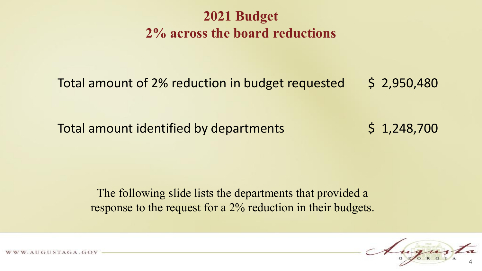#### **2021 Budget 2% across the board reductions**

Total amount of 2% reduction in budget requested  $\leq$  2,950,480

Total amount identified by departments  $\begin{array}{cc} 5 & 1,248,700 \end{array}$ 

The following slide lists the departments that provided a response to the request for a 2% reduction in their budgets.

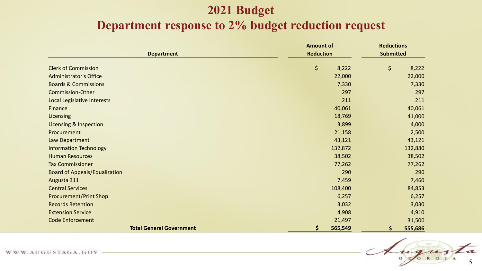#### **2021 Budget Department response to 2% budget reduction request**

|                                      | <b>Amount of</b> | <b>Reductions</b> |
|--------------------------------------|------------------|-------------------|
| <b>Department</b>                    | <b>Reduction</b> | <b>Submitted</b>  |
| <b>Clerk of Commission</b>           | \$<br>8,222      | \$<br>8,222       |
| <b>Administrator's Office</b>        | 22,000           | 22,000            |
| <b>Boards &amp; Commissions</b>      | 7,330            | 7,330             |
| <b>Commission-Other</b>              | 297              | 297               |
| Local Legislative Interests          | 211              | 211               |
| Finance                              | 40,061           | 40,061            |
| Licensing                            | 18,769           | 41,000            |
| <b>Licensing &amp; Inspection</b>    | 3,899            | 4,000             |
| Procurement                          | 21,158           | 2,500             |
| Law Department                       | 43,121           | 43,121            |
| <b>Information Technology</b>        | 132,872          | 132,880           |
| <b>Human Resources</b>               | 38,502           | 38,502            |
| <b>Tax Commissioner</b>              | 77,262           | 77,262            |
| <b>Board of Appeals/Equalization</b> | 290              | 290               |
| Augusta 311                          | 7,459            | 7,460             |
| <b>Central Services</b>              | 108,400          | 84,853            |
| <b>Procurement/Print Shop</b>        | 6,257            | 6,257             |
| <b>Records Retention</b>             | 3,032            | 3,030             |
| <b>Extension Service</b>             | 4,908            | 4,910             |
| <b>Code Enforcement</b>              | 21,497           | 31,500            |
| <b>Total General Government</b>      | \$<br>565,549    | \$<br>555,686     |

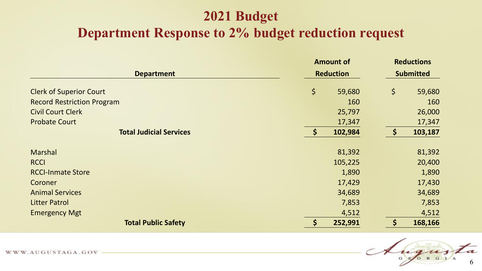#### **2021 Budget**

#### **Department Response to 2% budget reduction request**

|                                   | <b>Amount of</b>                               |                     | <b>Reductions</b> |
|-----------------------------------|------------------------------------------------|---------------------|-------------------|
| <b>Department</b>                 | <b>Reduction</b>                               | <b>Submitted</b>    |                   |
| <b>Clerk of Superior Court</b>    | \$<br>59,680                                   | \$                  | 59,680            |
| <b>Record Restriction Program</b> | 160                                            |                     | 160               |
| <b>Civil Court Clerk</b>          | 25,797                                         |                     | 26,000            |
| <b>Probate Court</b>              | 17,347                                         |                     | 17,347            |
| <b>Total Judicial Services</b>    | $\mathsf{S}$<br>102,984                        | $\ddot{\bm{\zeta}}$ | 103,187           |
| <b>Marshal</b>                    | 81,392                                         |                     | 81,392            |
| <b>RCCI</b>                       | 105,225                                        |                     | 20,400            |
| <b>RCCI-Inmate Store</b>          | 1,890                                          |                     | 1,890             |
| Coroner                           | 17,429                                         |                     | 17,430            |
| <b>Animal Services</b>            | 34,689                                         |                     | 34,689            |
| <b>Litter Patrol</b>              | 7,853                                          |                     | 7,853             |
| <b>Emergency Mgt</b>              | 4,512                                          |                     | 4,512             |
| <b>Total Public Safety</b>        | $\left  \boldsymbol{\zeta} \right $<br>252,991 | $\varsigma$         | 168,166           |

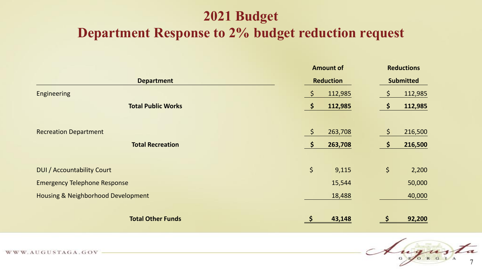#### **2021 Budget**

#### **Department Response to 2% budget reduction request**

|                                               | <b>Amount of</b>               | <b>Reductions</b>              |
|-----------------------------------------------|--------------------------------|--------------------------------|
| <b>Department</b>                             | <b>Reduction</b>               | <b>Submitted</b>               |
| Engineering                                   | $\ddot{\varsigma}$<br>112,985  | $\varsigma$<br>112,985         |
| <b>Total Public Works</b>                     | $\ddot{\bm{\zeta}}$<br>112,985 | $\varsigma$<br>112,985         |
| <b>Recreation Department</b>                  | $\ddot{\varsigma}$<br>263,708  | $\varsigma$<br>216,500         |
| <b>Total Recreation</b>                       | $\ddot{\bm{\zeta}}$<br>263,708 | $\ddot{\mathsf{s}}$<br>216,500 |
| <b>DUI</b> / Accountability Court             | $\varsigma$<br>9,115           | \$<br>2,200                    |
| <b>Emergency Telephone Response</b>           | 15,544                         | 50,000                         |
| <b>Housing &amp; Neighborhood Development</b> | 18,488                         | 40,000                         |
| <b>Total Other Funds</b>                      | 43,148                         | 92,200                         |

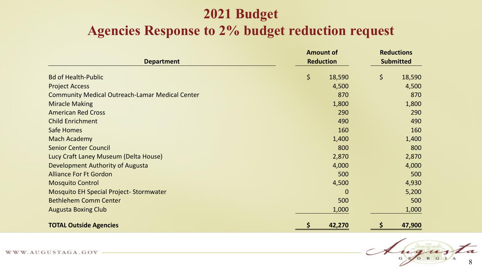#### **2021 Budget Agencies Response to 2% budget reduction request**

|                                                        | <b>Amount of</b> |                  |    | <b>Reductions</b> |  |
|--------------------------------------------------------|------------------|------------------|----|-------------------|--|
| <b>Department</b>                                      |                  | <b>Reduction</b> |    | <b>Submitted</b>  |  |
| <b>Bd of Health-Public</b>                             | \$               | 18,590           | \$ | 18,590            |  |
| <b>Project Access</b>                                  |                  | 4,500            |    | 4,500             |  |
| <b>Community Medical Outreach-Lamar Medical Center</b> |                  | 870              |    | 870               |  |
| <b>Miracle Making</b>                                  |                  | 1,800            |    | 1,800             |  |
| <b>American Red Cross</b>                              |                  | 290              |    | 290               |  |
| <b>Child Enrichment</b>                                |                  | 490              |    | 490               |  |
| Safe Homes                                             |                  | 160              |    | 160               |  |
| <b>Mach Academy</b>                                    |                  | 1,400            |    | 1,400             |  |
| <b>Senior Center Council</b>                           |                  | 800              |    | 800               |  |
| Lucy Craft Laney Museum (Delta House)                  |                  | 2,870            |    | 2,870             |  |
| Development Authority of Augusta                       |                  | 4,000            |    | 4,000             |  |
| <b>Alliance For Ft Gordon</b>                          |                  | 500              |    | 500               |  |
| <b>Mosquito Control</b>                                |                  | 4,500            |    | 4,930             |  |
| <b>Mosquito EH Special Project-Stormwater</b>          |                  | $\overline{0}$   |    | 5,200             |  |
| <b>Bethlehem Comm Center</b>                           |                  | 500              |    | 500               |  |
| <b>Augusta Boxing Club</b>                             |                  | 1,000            |    | 1,000             |  |
| <b>TOTAL Outside Agencies</b>                          | \$               | 42,270           |    | 47,900            |  |

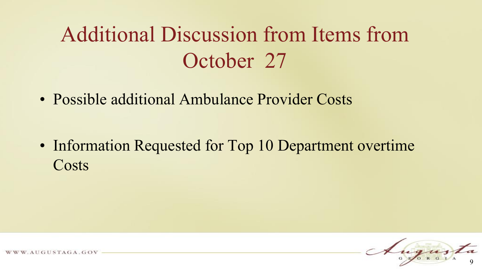## Additional Discussion from Items from October 27

• Possible additional Ambulance Provider Costs

• Information Requested for Top 10 Department overtime **Costs** 



UGUSTAGA.GOV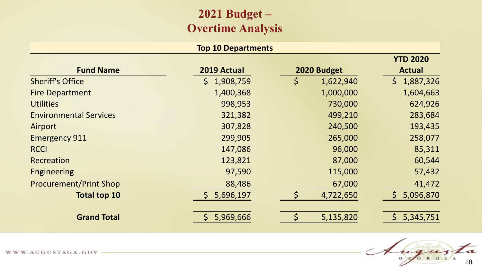#### **2021 Budget – Overtime Analysis**

#### **Top 10 Departments**

|                               |                 |                 | <b>YTD 2020</b>             |
|-------------------------------|-----------------|-----------------|-----------------------------|
| <b>Fund Name</b>              | 2019 Actual     | 2020 Budget     | <b>Actual</b>               |
| <b>Sheriff's Office</b>       | \$<br>1,908,759 | \$<br>1,622,940 | $\mathsf{S}^-$<br>1,887,326 |
| <b>Fire Department</b>        | 1,400,368       | 1,000,000       | 1,604,663                   |
| <b>Utilities</b>              | 998,953         | 730,000         | 624,926                     |
| <b>Environmental Services</b> | 321,382         | 499,210         | 283,684                     |
| Airport                       | 307,828         | 240,500         | 193,435                     |
| <b>Emergency 911</b>          | 299,905         | 265,000         | 258,077                     |
| <b>RCCI</b>                   | 147,086         | 96,000          | 85,311                      |
| Recreation                    | 123,821         | 87,000          | 60,544                      |
| <b>Engineering</b>            | 97,590          | 115,000         | 57,432                      |
| <b>Procurement/Print Shop</b> | 88,486          | 67,000          | 41,472                      |
| <b>Total top 10</b>           | 5,696,197       | 4,722,650       | 5,096,870                   |
| <b>Grand Total</b>            | 5,969,666       | 5,135,820       | 5,345,751                   |

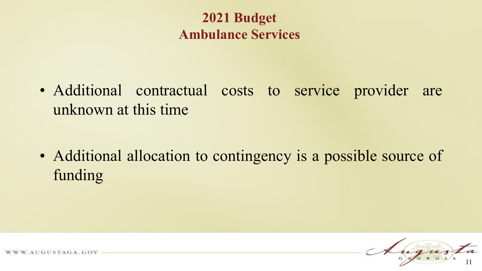#### **2021 Budget Ambulance Services**

• Additional contractual costs to service provider are unknown at this time

• Additional allocation to contingency is a possible source of funding

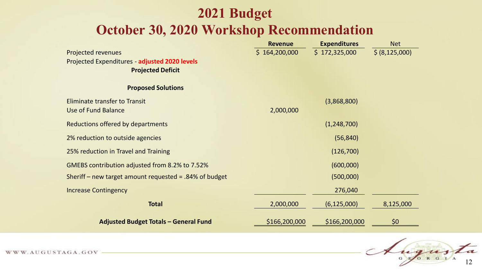#### **2021 Budget October 30, 2020 Workshop Recommendation**

|                                                           | <b>Revenue</b> | <b>Expenditures</b> | <b>Net</b>       |
|-----------------------------------------------------------|----------------|---------------------|------------------|
| <b>Projected revenues</b>                                 | \$164,200,000  | \$172,325,000       | \$ (8, 125, 000) |
| Projected Expenditures - adjusted 2020 levels             |                |                     |                  |
| <b>Projected Deficit</b>                                  |                |                     |                  |
| <b>Proposed Solutions</b>                                 |                |                     |                  |
| <b>Eliminate transfer to Transit</b>                      |                | (3,868,800)         |                  |
| <b>Use of Fund Balance</b>                                | 2,000,000      |                     |                  |
| Reductions offered by departments                         |                | (1,248,700)         |                  |
| 2% reduction to outside agencies                          |                | (56, 840)           |                  |
| 25% reduction in Travel and Training                      |                | (126,700)           |                  |
| GMEBS contribution adjusted from 8.2% to 7.52%            |                | (600,000)           |                  |
| Sheriff – new target amount requested = $.84\%$ of budget |                | (500,000)           |                  |
| <b>Increase Contingency</b>                               |                | 276,040             |                  |
| <b>Total</b>                                              | 2,000,000      | (6, 125, 000)       | 8,125,000        |
| <b>Adjusted Budget Totals - General Fund</b>              | \$166,200,000  | \$166,200,000       | \$0              |